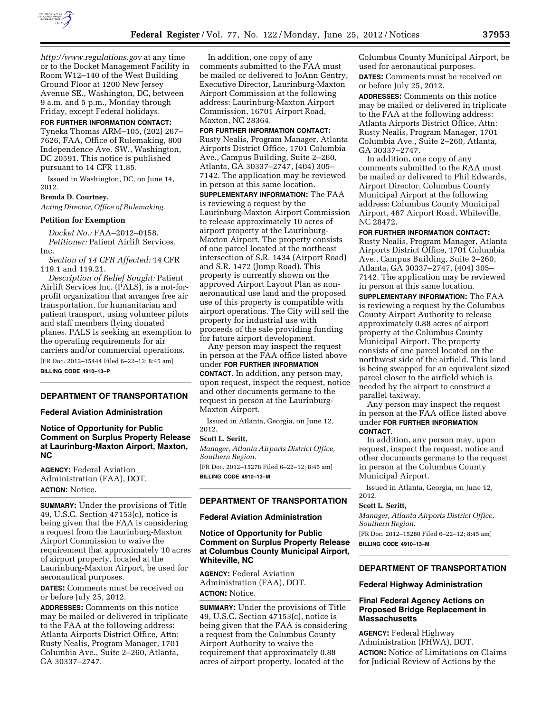

*<http://www.regulations.gov>* at any time or to the Docket Management Facility in Room W12–140 of the West Building Ground Floor at 1200 New Jersey Avenue SE., Washington, DC, between 9 a.m. and 5 p.m., Monday through Friday, except Federal holidays.

**FOR FURTHER INFORMATION CONTACT:**  Tyneka Thomas ARM–105, (202) 267– 7626, FAA, Office of Rulemaking, 800 Independence Ave. SW., Washington, DC 20591. This notice is published pursuant to 14 CFR 11.85.

Issued in Washington, DC, on June 14, 2012.

# **Brenda D. Courtney,**

*Acting Director, Office of Rulemaking.* 

## **Petition for Exemption**

*Docket No.:* FAA–2012–0158. *Petitioner:* Patient Airlift Services, Inc.

*Section of 14 CFR Affected:* 14 CFR 119.1 and 119.21.

*Description of Relief Sought:* Patient Airlift Services Inc. (PALS), is a not-forprofit organization that arranges free air transportation, for humanitarian and patient transport, using volunteer pilots and staff members flying donated planes. PALS is seeking an exemption to the operating requirements for air carriers and/or commercial operations. [FR Doc. 2012–15444 Filed 6–22–12; 8:45 am]

**BILLING CODE 4910–13–P** 

### **DEPARTMENT OF TRANSPORTATION**

#### **Federal Aviation Administration**

## **Notice of Opportunity for Public Comment on Surplus Property Release at Laurinburg-Maxton Airport, Maxton, NC**

**AGENCY:** Federal Aviation Administration (FAA), DOT. **ACTION:** Notice.

**SUMMARY:** Under the provisions of Title 49, U.S.C. Section 47153(c), notice is being given that the FAA is considering a request from the Laurinburg-Maxton Airport Commission to waive the requirement that approximately 10 acres of airport property, located at the Laurinburg-Maxton Airport, be used for aeronautical purposes.

**DATES:** Comments must be received on or before July 25, 2012.

**ADDRESSES:** Comments on this notice may be mailed or delivered in triplicate to the FAA at the following address: Atlanta Airports District Office, Attn: Rusty Nealis, Program Manager, 1701 Columbia Ave., Suite 2–260, Atlanta, GA 30337–2747.

In addition, one copy of any comments submitted to the FAA must be mailed or delivered to JoAnn Gentry, Executive Director, Laurinburg-Maxton Airport Commission at the following address: Laurinburg-Maxton Airport Commission, 16701 Airport Road, Maxton, NC 28364.

#### **FOR FURTHER INFORMATION CONTACT:**

Rusty Nealis, Program Manager, Atlanta Airports District Office, 1701 Columbia Ave., Campus Building, Suite 2–260, Atlanta, GA 30337–2747, (404) 305– 7142. The application may be reviewed in person at this same location.

**SUPPLEMENTARY INFORMATION:** The FAA is reviewing a request by the Laurinburg-Maxton Airport Commission to release approximately 10 acres of airport property at the Laurinburg-Maxton Airport. The property consists of one parcel located at the northeast intersection of S.R. 1434 (Airport Road) and S.R. 1472 (Jump Road). This property is currently shown on the approved Airport Layout Plan as nonaeronautical use land and the proposed use of this property is compatible with airport operations. The City will sell the property for industrial use with proceeds of the sale providing funding for future airport development.

Any person may inspect the request in person at the FAA office listed above under **FOR FURTHER INFORMATION CONTACT**. In addition, any person may, upon request, inspect the request, notice and other documents germane to the request in person at the Laurinburg-Maxton Airport.

Issued in Atlanta, Georgia, on June 12, 2012.

### **Scott L. Seritt,**

*Manager, Atlanta Airports District Office, Southern Region.* 

[FR Doc. 2012–15278 Filed 6–22–12; 8:45 am] **BILLING CODE 4910–13–M** 

# **DEPARTMENT OF TRANSPORTATION**

## **Federal Aviation Administration**

# **Notice of Opportunity for Public Comment on Surplus Property Release at Columbus County Municipal Airport, Whiteville, NC**

**AGENCY:** Federal Aviation Administration (FAA), DOT. **ACTION:** Notice.

**SUMMARY:** Under the provisions of Title 49, U.S.C. Section 47153(c), notice is being given that the FAA is considering a request from the Columbus County Airport Authority to waive the requirement that approximately 0.88 acres of airport property, located at the

Columbus County Municipal Airport, be used for aeronautical purposes. **DATES:** Comments must be received on or before July 25, 2012.

**ADDRESSES:** Comments on this notice may be mailed or delivered in triplicate to the FAA at the following address: Atlanta Airports District Office, Attn: Rusty Nealis, Program Manager, 1701 Columbia Ave., Suite 2–260, Atlanta, GA 30337–2747.

In addition, one copy of any comments submitted to the RAA must be mailed or delivered to Phil Edwards, Airport Director, Columbus County Municipal Airport at the following address: Columbus County Municipal Airport, 467 Airport Road, Whiteville, NC 28472.

#### **FOR FURTHER INFORMATION CONTACT:**

Rusty Nealis, Program Manager, Atlanta Airports District Office, 1701 Columbia Ave., Campus Building, Suite 2–260, Atlanta, GA 30337–2747, (404) 305– 7142. The application may be reviewed in person at this same location.

**SUPPLEMENTARY INFORMATION:** The FAA is reviewing a request by the Columbus County Airport Authority to release approximately 0.88 acres of airport property at the Columbus County Municipal Airport. The property consists of one parcel located on the northwest side of the airfield. This land is being swapped for an equivalent sized parcel closer to the airfield which is needed by the airport to construct a parallel taxiway.

Any person may inspect the request in person at the FAA office listed above under **FOR FURTHER INFORMATION CONTACT**.

In addition, any person may, upon request, inspect the request, notice and other documents germane to the request in person at the Columbus County Municipal Airport.

Issued in Atlanta, Georgia, on June 12, 2012.

#### **Scott L. Seritt,**

*Manager, Atlanta Airports District Office, Southern Region.* 

[FR Doc. 2012–15280 Filed 6–22–12; 8:45 am] **BILLING CODE 4910–13–M** 

# **DEPARTMENT OF TRANSPORTATION**

## **Federal Highway Administration**

## **Final Federal Agency Actions on Proposed Bridge Replacement in Massachusetts**

**AGENCY:** Federal Highway Administration (FHWA), DOT. **ACTION:** Notice of Limitations on Claims for Judicial Review of Actions by the